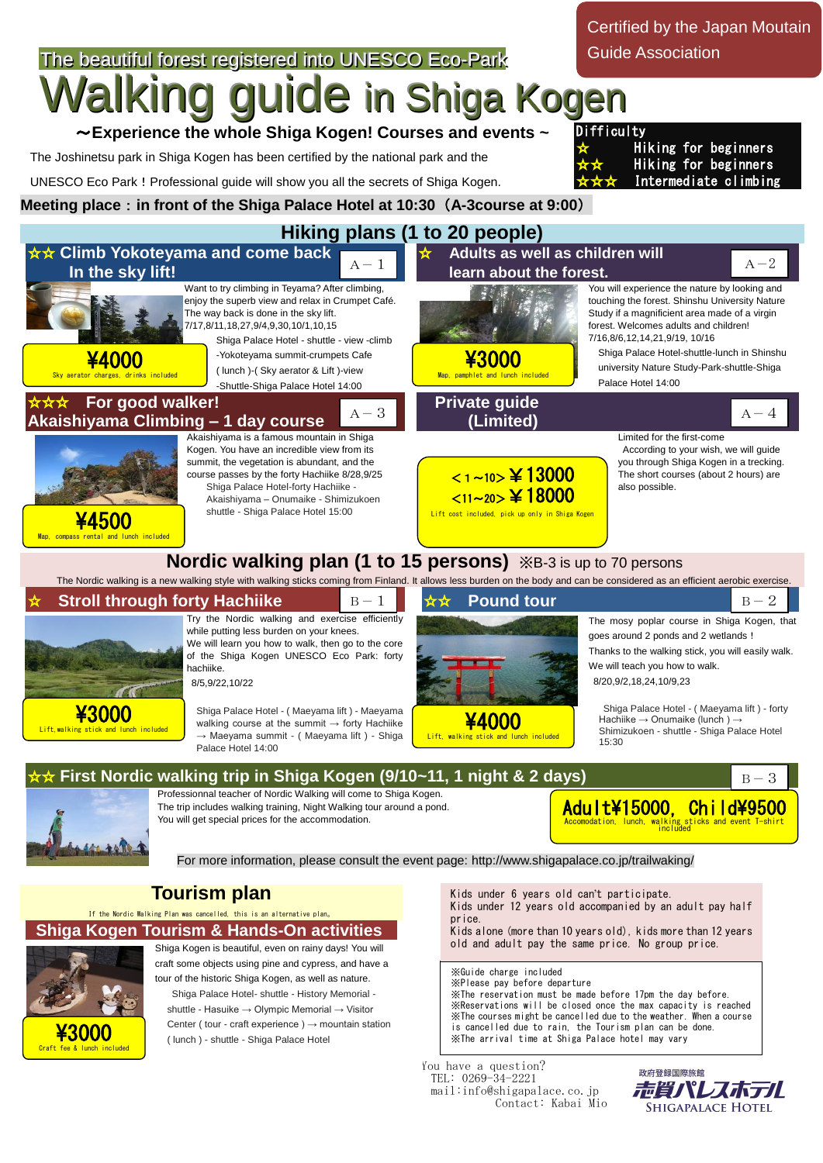The beautiful forest registered into UNESCO Eco-Park **guide in Shiga Kogen** ~**Experience the whole Shiga Kogen! Courses and events ~**  The Joshinetsu park in Shiga Kogen has been certified by the national park and the UNESCO Eco Park!Professional guide will show you all the secrets of Shiga Kogen. **Meeting place**:**in front of the Shiga Palace Hotel at 10:30**(**A-3course at 9:00**) **Hiking plans (1 to 20 people)** ☆☆ **Climb Yokoteyama and come back In the sky lift!** Want to try climbing in Teyama? After climbing, enjoy the superb view and relax in Crumpet Café. The way back is done in the sky lift. 7/17,8/11,18,27,9/4,9,30,10/1,10,15 Shiga Palace Hotel - shuttle - view -climb -Yokoteyama summit-crumpets Cafe ( lunch )-( Sky aerator & Lift )-view -Shuttle-Shiga Palace Hotel 14:00 **Adults as well as children will learn about the forest.**  You will experience the nature by looking and touching the forest. Shinshu University Nature Study if a magnificient area made of a virgin forest. Welcomes adults and children! 7/16,8/6,12,14,21,9/19, 10/16 Shiga Palace Hotel-shuttle-lunch in Shinshu university Nature Study-Park-shuttle-Shiga Palace Hotel 14:00 **For good walker! Akaishiyama Climbing – 1 day course** Akaishiyama is a famous mountain in Shiga Kogen. You have an incredible view from its summit, the vegetation is abundant, and the course passes by the forty Hachiike 8/28,9/25 Shiga Palace Hotel-forty Hachiike - Akaishiyama – Onumaike - Shimizukoen shuttle - Shiga Palace Hotel 15:00 **Private guide (Limited)** Limited for the first-come According to your wish, we will guide you through Shiga Kogen in a trecking. The short courses (about 2 hours) are also possible. **Nordic walking plan (1 to 15 persons)** ※B-3 is up to 70 persons The Nordic walking is a new walking style with walking sticks coming from Finland. It allows less burden on the body and can be considered as an efficient aerobic exercise **Stroll through forty Hachiike** Try the Nordic walking and exercise efficiently while putting less burden on your knees. We will learn you how to walk, then go to the core of the Shiga Kogen UNESCO Eco Park: forty hachiike. 8/5,9/22,10/22 Shiga Palace Hotel - ( Maeyama lift ) - Maeyama  $\frac{\text{#JUUU}}{\text{Lift, walking stick and lunch included}}$  valking course at the summit → forty Hachilke  $\frac{\text{4000}}{\text{4000}}$ → Maeyama summit - ( Maeyama lift ) - Shiga Palace Hotel 14:00  $B-1$   $\star \star$  **Pound tour** The mosy poplar course in Shiga Kogen, that goes around 2 ponds and 2 wetlands ! Thanks to the walking stick, you will easily walk. We will teach you how to walk. 8/20,9/2,18,24,10/9,23 Shiga Palace Hotel - ( Maeyama lift ) - forty Hachiike → Onumaike (lunch ) → Shimizukoen - shuttle - Shiga Palace Hotel 15:30 First Nordic walking trip in Shiga Kogen (9/10~11, 1 night & 2 days) Professionnal teacher of Nordic Walking will come to Shiga Kogen. The trip includes walking training, Night Walking tour around a pond. You will get special prices for the accommodation. For more information, please consult the event page: http://www.shigapalace.co.jp/trailwaking/ **Tourism plan** If the Nordic Walking Plan was cancelled, this is an alternative plan。 **Shiga Kogen Tourism & Hands-On activities** Shiga Kogen is beautiful, even on rainy days! You will craft some objects using pine and cypress, and have a tour of the historic Shiga Kogen, as well as nature. Shiga Palace Hotel- shuttle - History Memorial shuttle - Hasuike → Olympic Memorial → Visitor Center ( tour - craft experience )  $\rightarrow$  mountain station ( lunch ) - shuttle - Shiga Palace Hotel Certified by the Japan Moutain Guide Association **Difficulty Hiking for beginners Hiking for beginners** Intermediate climbing  $\frac{\text{43000}}{\text{4300}}$ Lift, walking stick and lunch included Adult\15000, Child\9500 Accomodation, lunch, walking sticks and event T-shirt included ※Guide charge included ※Please pay before departure ※The reservation must be made before 17pm the day before. ※Reservations will be closed once the max capacity is reached ※The courses might be cancelled due to the weather. When a course is cancelled due to rain, the Tourism plan can be done. ※The arrival time at Shiga Palace hotel may vary Kids under 6 years old can't participate. Kids under 12 years old accompanied by an adult pay half price. Kids alone (more than 10 years old), kids more than 12 years old and adult pay the same price. No group price. \3000 Craft fee & lunch include  $B-3$ \4000 Sky aerator charges, drinks included  $A-1$ \3000 Map, pamphlet and lunch included  $A-2$ ¥4500 Map, compass rental and lunch included  $A-3$ <1~10>¥13000 <sup>&</sup>lt;11~20>¥18000 Lift cost included, pick up only in Shiga Kogen  $A-4$ 

You have a question? TEL: 0269-34-2221 mail:info@shigapalace.co.jp Contact: Kabai Mio